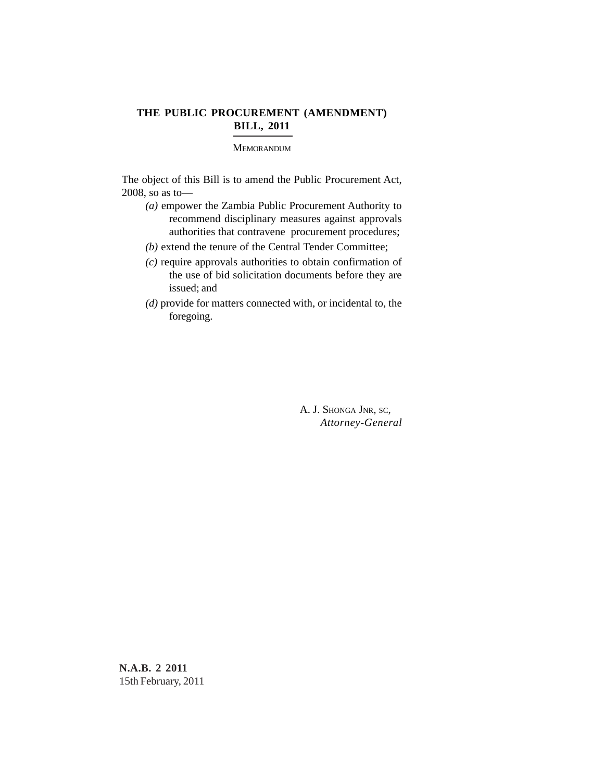## **THE PUBLIC PROCUREMENT (AMENDMENT) BILL, 2011**

### **MEMORANDUM**

The object of this Bill is to amend the Public Procurement Act, 2008, so as to—

- *(a)* empower the Zambia Public Procurement Authority to recommend disciplinary measures against approvals authorities that contravene procurement procedures;
- *(b)* extend the tenure of the Central Tender Committee;
- *(c)* require approvals authorities to obtain confirmation of the use of bid solicitation documents before they are issued; and
- *(d)* provide for matters connected with, or incidental to, the foregoing.

A. J. SHONGA JNR, SC, *Attorney-General*

**N.A.B. 2 2011** 15th February, 2011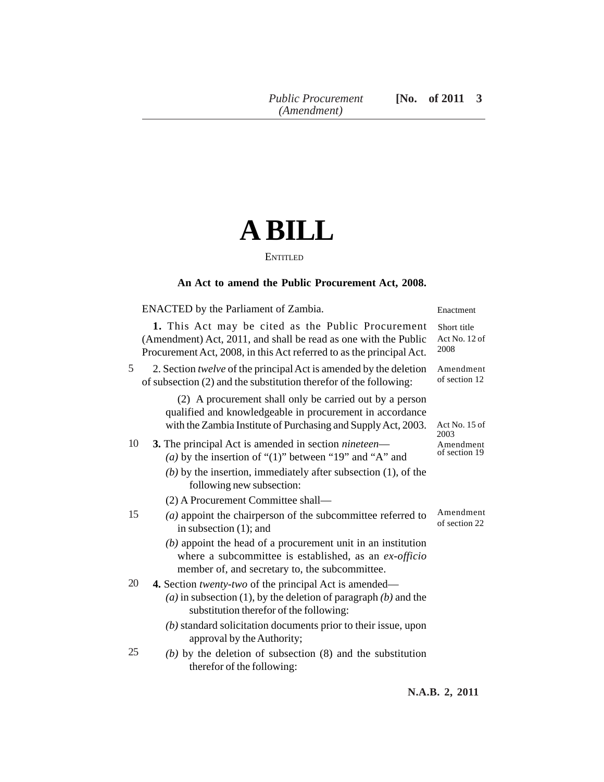# **A BILL**

#### **ENTITLED**

## **An Act to amend the Public Procurement Act, 2008.**

ENACTED by the Parliament of Zambia.

**1.** This Act may be cited as the Public Procurement (Amendment) Act, 2011, and shall be read as one with the Public Procurement Act, 2008, in this Act referred to as the principal Act.

#### 2. Section *twelve* of the principal Act is amended by the deletion of subsection (2) and the substitution therefor of the following: 5

(2) A procurement shall only be carried out by a person qualified and knowledgeable in procurement in accordance with the Zambia Institute of Purchasing and Supply Act, 2003.

#### **3.** The principal Act is amended in section *nineteen*— *(a)* by the insertion of "(1)" between "19" and "A" and *(b)* by the insertion, immediately after subsection (1), of the 10

following new subsection:

(2) A Procurement Committee shall—

- *(a)* appoint the chairperson of the subcommittee referred to in subsection (1); and 15
	- *(b)* appoint the head of a procurement unit in an institution where a subcommittee is established, as an *ex-officio* member of, and secretary to, the subcommittee.

**4.** Section *twenty-two* of the principal Act is amended— 20

- *(a)* in subsection (1), by the deletion of paragraph *(b)* and the substitution therefor of the following:
- *(b)* standard solicitation documents prior to their issue, upon approval by the Authority;
- *(b)* by the deletion of subsection (8) and the substitution therefor of the following: 25

Enactment

Short title Act No. 12 of 2008

Amendment of section 12

Act No. 15 of 2003 Amendment of section 19

Amendment of section 22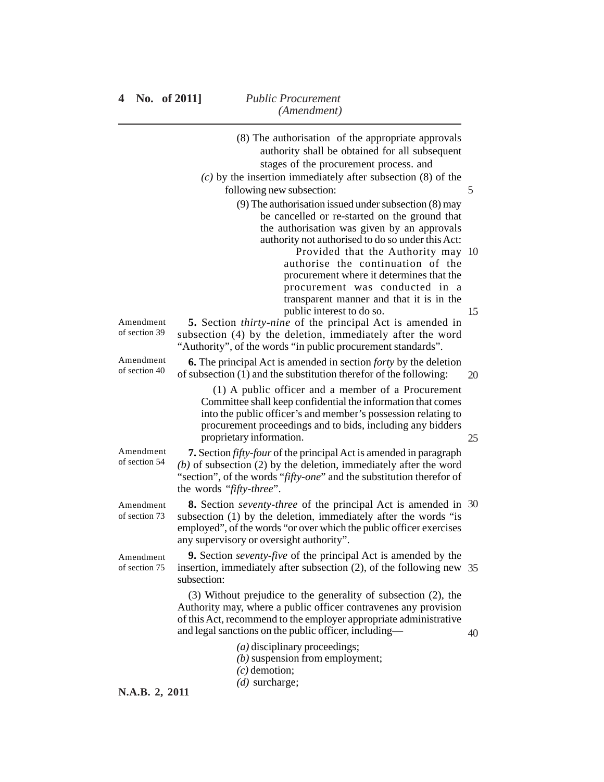|                            | (8) The authorisation of the appropriate approvals<br>authority shall be obtained for all subsequent<br>stages of the procurement process. and                                                                                                                                                                                                         |    |
|----------------------------|--------------------------------------------------------------------------------------------------------------------------------------------------------------------------------------------------------------------------------------------------------------------------------------------------------------------------------------------------------|----|
|                            | $(c)$ by the insertion immediately after subsection (8) of the<br>following new subsection:<br>$(9)$ The authorisation issued under subsection $(8)$ may                                                                                                                                                                                               | 5  |
|                            | be cancelled or re-started on the ground that<br>the authorisation was given by an approvals<br>authority not authorised to do so under this Act:<br>Provided that the Authority may 10<br>authorise the continuation of the<br>procurement where it determines that the<br>procurement was conducted in a<br>transparent manner and that it is in the |    |
| Amendment<br>of section 39 | public interest to do so.<br>5. Section thirty-nine of the principal Act is amended in<br>subsection (4) by the deletion, immediately after the word<br>"Authority", of the words "in public procurement standards".                                                                                                                                   | 15 |
| Amendment<br>of section 40 | 6. The principal Act is amended in section forty by the deletion<br>of subsection (1) and the substitution therefor of the following:                                                                                                                                                                                                                  | 20 |
|                            | (1) A public officer and a member of a Procurement<br>Committee shall keep confidential the information that comes<br>into the public officer's and member's possession relating to<br>procurement proceedings and to bids, including any bidders<br>proprietary information.                                                                          | 25 |
| Amendment<br>of section 54 | 7. Section <i>fifty-four</i> of the principal Act is amended in paragraph<br>$(b)$ of subsection (2) by the deletion, immediately after the word<br>"section", of the words "fifty-one" and the substitution therefor of<br>the words "fifty-three".                                                                                                   |    |
| Amendment<br>of section 73 | <b>8.</b> Section <i>seventy-three</i> of the principal Act is amended in 30<br>subsection (1) by the deletion, immediately after the words "is<br>employed", of the words "or over which the public officer exercises<br>any supervisory or oversight authority".                                                                                     |    |
| Amendment<br>of section 75 | <b>9.</b> Section <i>seventy-five</i> of the principal Act is amended by the<br>insertion, immediately after subsection $(2)$ , of the following new 35<br>subsection:                                                                                                                                                                                 |    |
|                            | (3) Without prejudice to the generality of subsection (2), the<br>Authority may, where a public officer contravenes any provision<br>of this Act, recommend to the employer appropriate administrative<br>and legal sanctions on the public officer, including-                                                                                        | 40 |
|                            | $(a)$ disciplinary proceedings;<br>$(b)$ suspension from employment;<br>$(c)$ demotion;                                                                                                                                                                                                                                                                |    |
| N.A.B. 2. 2011             | $(d)$ surcharge;                                                                                                                                                                                                                                                                                                                                       |    |

**N.A.B.** 2, 201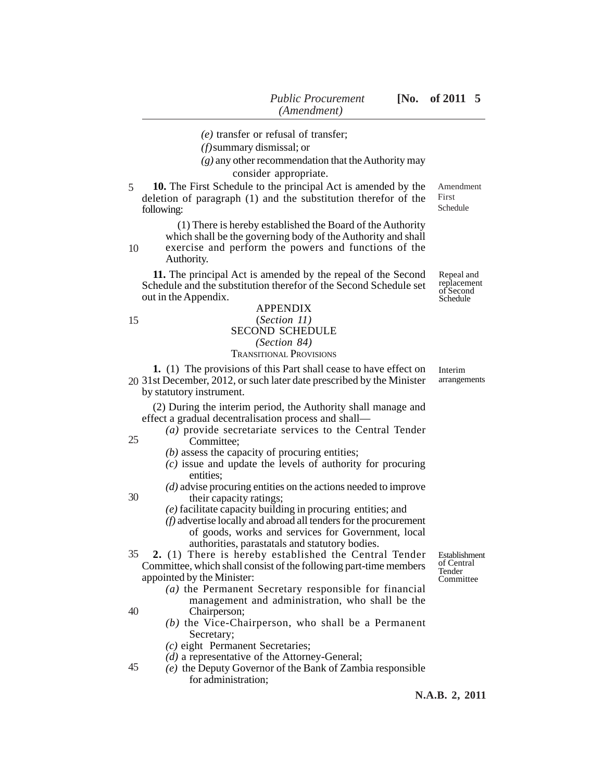*(e)* transfer or refusal of transfer;

*(f)*summary dismissal; or

*(g)* any other recommendation that the Authority may consider appropriate.

**10.** The First Schedule to the principal Act is amended by the deletion of paragraph (1) and the substitution therefor of the following: 5

> (1) There is hereby established the Board of the Authority which shall be the governing body of the Authority and shall

exercise and perform the powers and functions of the Authority. 10

**11.** The principal Act is amended by the repeal of the Second Schedule and the substitution therefor of the Second Schedule set out in the Appendix.

15

25

30

40

# APPENDIX (*Section 11)* SECOND SCHEDULE *(Section 84)*

## TRANSITIONAL PROVISIONS

**1.** (1) The provisions of this Part shall cease to have effect on 31st December, 2012, or such later date prescribed by the Minister 20 by statutory instrument.

(2) During the interim period, the Authority shall manage and effect a gradual decentralisation process and shall—

- *(a)* provide secretariate services to the Central Tender Committee;
	- *(b)* assess the capacity of procuring entities;
	- *(c)* issue and update the levels of authority for procuring entities;
	- *(d)* advise procuring entities on the actions needed to improve their capacity ratings;
	- *(e)* facilitate capacity building in procuring entities; and
	- *(f)* advertise locally and abroad all tenders for the procurement of goods, works and services for Government, local authorities, parastatals and statutory bodies.

**2.** (1) There is hereby established the Central Tender Committee, which shall consist of the following part-time members appointed by the Minister: 35

- *(a)* the Permanent Secretary responsible for financial management and administration, who shall be the Chairperson;
- *(b)* the Vice-Chairperson, who shall be a Permanent Secretary;
- *(c)* eight Permanent Secretaries;
- *(d)* a representative of the Attorney-General;
- *(e)* the Deputy Governor of the Bank of Zambia responsible for administration; 45

Establishment of Central **Tender** Committee

Interim

arrangements

Amendment First Schedule

Repeal and replacement of Second Schedule

**N.A.B. 2, 2011**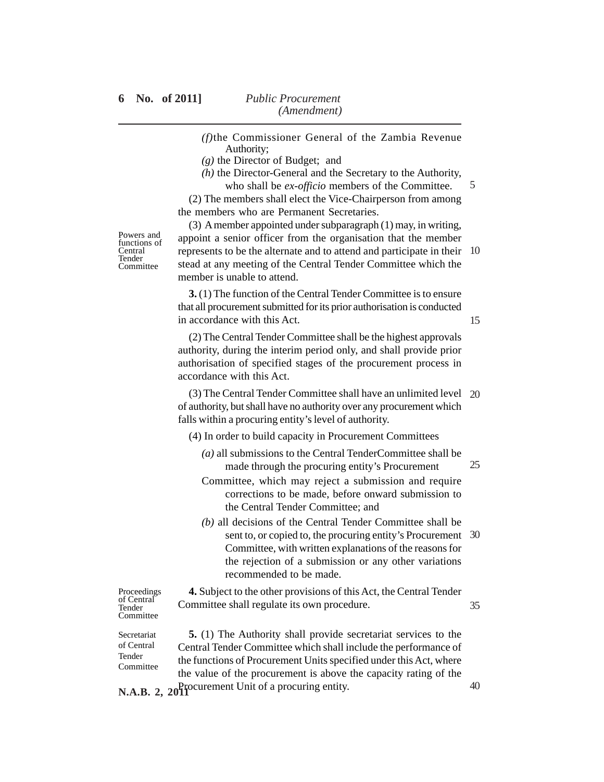- *(f)*the Commissioner General of the Zambia Revenue Authority;
- *(g)* the Director of Budget; and
- *(h)* the Director-General and the Secretary to the Authority,

who shall be *ex-officio* members of the Committee. (2) The members shall elect the Vice-Chairperson from among the members who are Permanent Secretaries.

Powers and functions of **Central** Tender Committee

(3) A member appointed under subparagraph (1) may, in writing, appoint a senior officer from the organisation that the member represents to be the alternate and to attend and participate in their 10 stead at any meeting of the Central Tender Committee which the member is unable to attend.

**3.** (1) The function of the Central Tender Committee is to ensure that all procurement submitted for its prior authorisation is conducted in accordance with this Act.

15

40

5

(2) The Central Tender Committee shall be the highest approvals authority, during the interim period only, and shall provide prior authorisation of specified stages of the procurement process in accordance with this Act.

(3) The Central Tender Committee shall have an unlimited level 20 of authority, but shall have no authority over any procurement which falls within a procuring entity's level of authority.

- (4) In order to build capacity in Procurement Committees
	- *(a)* all submissions to the Central TenderCommittee shall be made through the procuring entity's Procurement 25
	- Committee, which may reject a submission and require corrections to be made, before onward submission to the Central Tender Committee; and
	- *(b)* all decisions of the Central Tender Committee shall be sent to, or copied to, the procuring entity's Procurement 30 Committee, with written explanations of the reasons for the rejection of a submission or any other variations recommended to be made.

Proceedings of Central Tender **Committee** 

**4.** Subject to the other provisions of this Act, the Central Tender Committee shall regulate its own procedure. 35

Secretariat of Central Tender **Committee** 

**5.** (1) The Authority shall provide secretariat services to the Central Tender Committee which shall include the performance of the functions of Procurement Units specified under this Act, where the value of the procurement is above the capacity rating of the N.A.B. 2, 20<sup>P</sup>rocurement Unit of a procuring entity.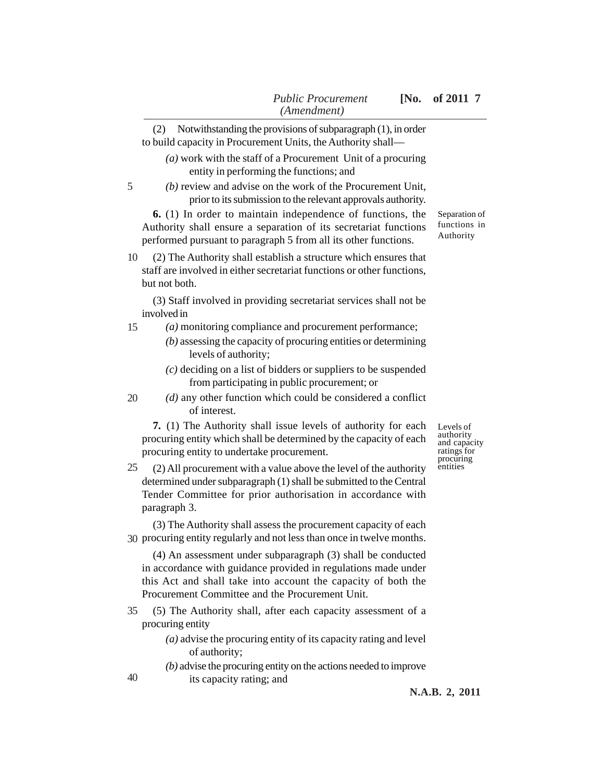|    | (Amendment)                                                                                                                                                                                                                                       |                                                                    |  |
|----|---------------------------------------------------------------------------------------------------------------------------------------------------------------------------------------------------------------------------------------------------|--------------------------------------------------------------------|--|
|    | Notwithstanding the provisions of subparagraph (1), in order<br>(2)<br>to build capacity in Procurement Units, the Authority shall—                                                                                                               |                                                                    |  |
|    | $(a)$ work with the staff of a Procurement Unit of a procuring<br>entity in performing the functions; and                                                                                                                                         |                                                                    |  |
| 5  | $(b)$ review and advise on the work of the Procurement Unit,<br>prior to its submission to the relevant approvals authority.                                                                                                                      |                                                                    |  |
|    | 6. (1) In order to maintain independence of functions, the<br>Authority shall ensure a separation of its secretariat functions<br>performed pursuant to paragraph 5 from all its other functions.                                                 | Separation of<br>functions in<br>Authority                         |  |
| 10 | (2) The Authority shall establish a structure which ensures that<br>staff are involved in either secretariat functions or other functions,<br>but not both.                                                                                       |                                                                    |  |
|    | (3) Staff involved in providing secretariat services shall not be<br>involved in                                                                                                                                                                  |                                                                    |  |
| 15 | (a) monitoring compliance and procurement performance;<br>$(b)$ assessing the capacity of procuring entities or determining<br>levels of authority;                                                                                               |                                                                    |  |
|    | $(c)$ deciding on a list of bidders or suppliers to be suspended<br>from participating in public procurement; or                                                                                                                                  |                                                                    |  |
| 20 | $(d)$ any other function which could be considered a conflict<br>of interest.                                                                                                                                                                     |                                                                    |  |
|    | 7. (1) The Authority shall issue levels of authority for each<br>procuring entity which shall be determined by the capacity of each<br>procuring entity to undertake procurement.                                                                 | Levels of<br>authority<br>and capacity<br>ratings for<br>procuring |  |
| 25 | (2) All procurement with a value above the level of the authority<br>determined under subparagraph (1) shall be submitted to the Central<br>Tender Committee for prior authorisation in accordance with<br>paragraph 3.                           | entities                                                           |  |
|    | (3) The Authority shall assess the procurement capacity of each<br>30 procuring entity regularly and not less than once in twelve months.                                                                                                         |                                                                    |  |
|    | (4) An assessment under subparagraph (3) shall be conducted<br>in accordance with guidance provided in regulations made under<br>this Act and shall take into account the capacity of both the<br>Procurement Committee and the Procurement Unit. |                                                                    |  |
| 35 | (5) The Authority shall, after each capacity assessment of a<br>procuring entity                                                                                                                                                                  |                                                                    |  |
|    | $(a)$ advise the procuring entity of its capacity rating and level<br>of authority;                                                                                                                                                               |                                                                    |  |
| 40 | $(b)$ advise the procuring entity on the actions needed to improve<br>its capacity rating; and                                                                                                                                                    |                                                                    |  |

its capacity rating; and

**N.A.B. 2, 2011**